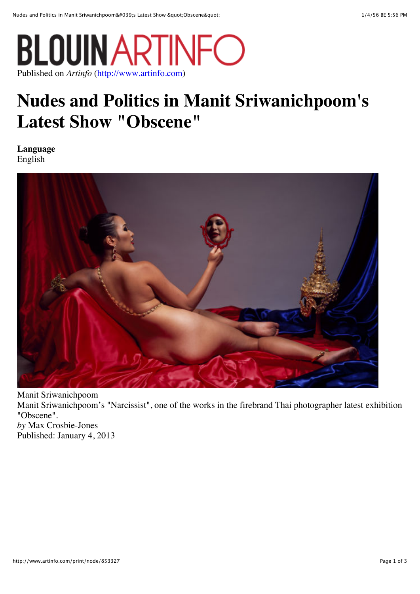

## **Nudes and Politics in Manit Sriwanichpoom's Latest Show "Obscene"**

**Language** English



Manit Sriwanichpoom Manit Sriwanichpoom's "Narcissist", one of the works in the firebrand Thai photographer latest exhibition "Obscene". *by* Max Crosbie-Jones Published: January 4, 2013